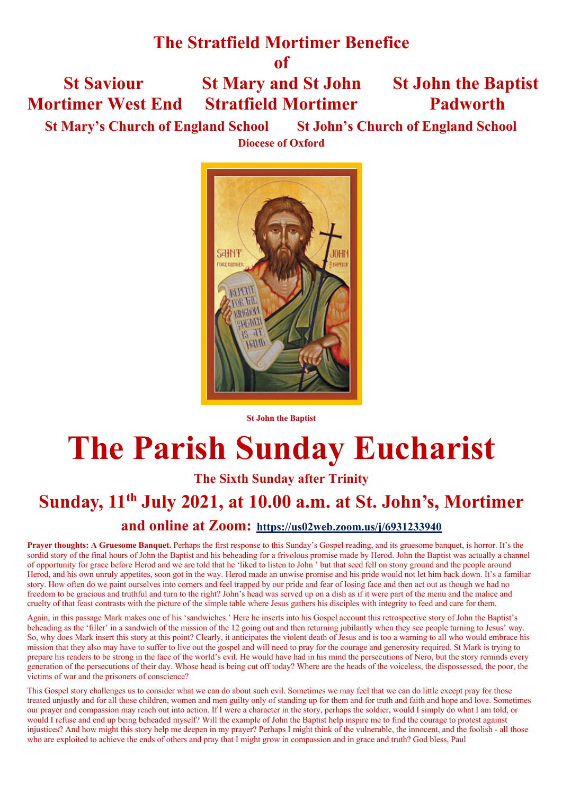# **The Stratfield Mortimer Benefice**

**of**

 **St Saviour St Mary and St John St John the Baptist Mortimer West End Stratfield Mortimer Padworth**

 **St Mary's Church of England School St John's Church of England School**

**Diocese of Oxford**



**St John the Baptist**

# **The Parish Sunday Eucharist**

# **The Sixth Sunday after Trinity**

# **Sunday, 11th July 2021, at 10.00 a.m. at St. John's, Mortimer**

**and online at Zoom: https://us02web.zoom.us/j/6931233940**

**Prayer thoughts: A Gruesome Banquet.** Perhaps the first response to this Sunday's Gospel reading, and its gruesome banquet, is horror. It's the sordid story of the final hours of John the Baptist and his beheading for a frivolous promise made by Herod. John the Baptist was actually a channel of opportunity for grace before Herod and we are told that he 'liked to listen to John ' but that seed fell on stony ground and the people around Herod, and his own unruly appetites, soon got in the way. Herod made an unwise promise and his pride would not let him back down. It's a familiar story. How often do we paint ourselves into corners and feel trapped by our pride and fear of losing face and then act out as though we had no freedom to be gracious and truthful and turn to the right? John's head was served up on a dish as if it were part of the menu and the malice and cruelty of that feast contrasts with the picture of the simple table where Jesus gathers his disciples with integrity to feed and care for them.

Again, in this passage Mark makes one of his 'sandwiches.' Here he inserts into his Gospel account this retrospective story of John the Baptist's beheading as the 'filler' in a sandwich of the mission of the 12 going out and then returning jubilantly when they see people turning to Jesus' way. So, why does Mark insert this story at this point? Clearly, it anticipates the violent death of Jesus and is too a warning to all who would embrace his mission that they also may have to suffer to live out the gospel and will need to pray for the courage and generosity required. St Mark is trying to prepare his readers to be strong in the face of the world's evil. He would have had in his mind the persecutions of Nero, but the story reminds every generation of the persecutions of their day. Whose head is being cut off today? Where are the heads of the voiceless, the dispossessed, the poor, the victims of war and the prisoners of conscience?

This Gospel story challenges us to consider what we can do about such evil. Sometimes we may feel that we can do little except pray for those treated unjustly and for all those children, women and men guilty only of standing up for them and for truth and faith and hope and love. Sometimes our prayer and compassion may reach out into action. If I were a character in the story, perhaps the soldier, would I simply do what I am told, or would I refuse and end up being beheaded myself? Will the example of John the Baptist help inspire me to find the courage to protest against injustices? And how might this story help me deepen in my prayer? Perhaps I might think of the vulnerable, the innocent, and the foolish - all those who are exploited to achieve the ends of others and pray that I might grow in compassion and in grace and truth? God bless, Paul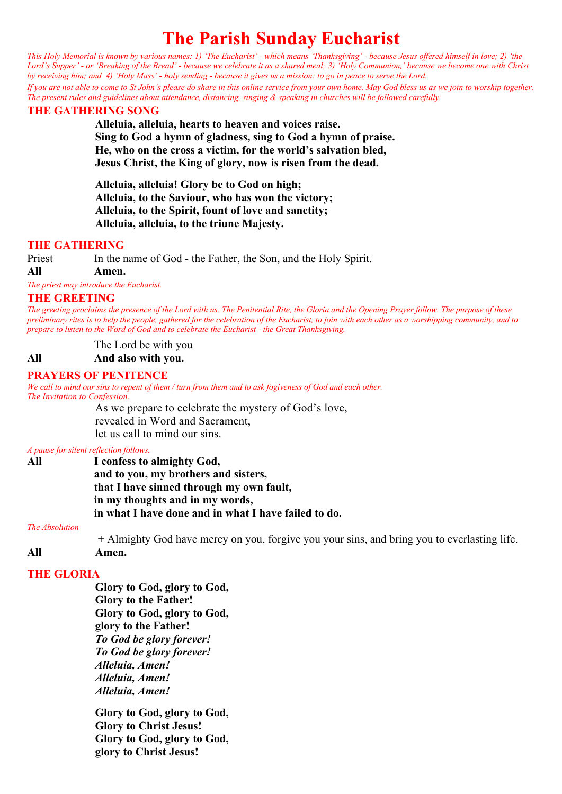# **The Parish Sunday Eucharist**

*This Holy Memorial is known by various names: 1) 'The Eucharist' - which means 'Thanksgiving' - because Jesus offered himself in love; 2) 'the Lord's Supper' - or 'Breaking of the Bread' - because we celebrate it as a shared meal; 3) 'Holy Communion,' because we become one with Christ by receiving him; and 4) 'Holy Mass' - holy sending - because it gives us a mission: to go in peace to serve the Lord.*

*If you are not able to come to St John's please do share in this online service from your own home. May God bless us as we join to worship together. The present rules and guidelines about attendance, distancing, singing & speaking in churches will be followed carefully.*

#### **THE GATHERING SONG**

**Alleluia, alleluia, hearts to heaven and voices raise. Sing to God a hymn of gladness, sing to God a hymn of praise. He, who on the cross a victim, for the world's salvation bled, Jesus Christ, the King of glory, now is risen from the dead.**

**Alleluia, alleluia! Glory be to God on high; Alleluia, to the Saviour, who has won the victory; Alleluia, to the Spirit, fount of love and sanctity; Alleluia, alleluia, to the triune Majesty.**

#### **THE GATHERING**

Priest In the name of God - the Father, the Son, and the Holy Spirit. **All Amen.**

*The priest may introduce the Eucharist.*

#### **THE GREETING**

*The greeting proclaims the presence of the Lord with us. The Penitential Rite, the Gloria and the Opening Prayer follow. The purpose of these preliminary rites is to help the people, gathered for the celebration of the Eucharist, to join with each other as a worshipping community, and to prepare to listen to the Word of God and to celebrate the Eucharist - the Great Thanksgiving.*

# The Lord be with you

**All And also with you.**

#### **PRAYERS OF PENITENCE**

*We call to mind our sins to repent of them / turn from them and to ask fogiveness of God and each other. The Invitation to Confession.*

As we prepare to celebrate the mystery of God's love, revealed in Word and Sacrament, let us call to mind our sins.

*A pause for silent reflection follows.*

**All I confess to almighty God, and to you, my brothers and sisters, that I have sinned through my own fault, in my thoughts and in my words, in what I have done and in what I have failed to do.**

#### **The Absolution**

 **+** Almighty God have mercy on you, forgive you your sins, and bring you to everlasting life. **All Amen.**

#### **THE GLORIA**

**Glory to God, glory to God, Glory to the Father! Glory to God, glory to God, glory to the Father!** *To God be glory forever! To God be glory forever! Alleluia, Amen! Alleluia, Amen! Alleluia, Amen!*

**Glory to God, glory to God, Glory to Christ Jesus! Glory to God, glory to God, glory to Christ Jesus!**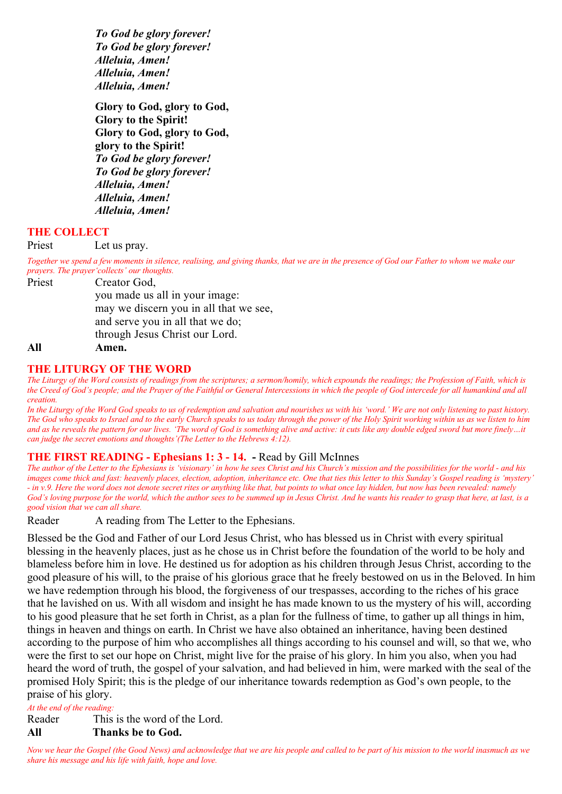*To God be glory forever! To God be glory forever! Alleluia, Amen! Alleluia, Amen! Alleluia, Amen!*

**Glory to God, glory to God, Glory to the Spirit! Glory to God, glory to God, glory to the Spirit!** *To God be glory forever! To God be glory forever! Alleluia, Amen! Alleluia, Amen! Alleluia, Amen!*

# **THE COLLECT**

Priest Let us pray.

*Together we spend a few moments in silence, realising, and giving thanks, that we are in the presence of God our Father to whom we make our prayers. The prayer'collects' our thoughts.* 

Priest Creator God, you made us all in your image: may we discern you in all that we see, and serve you in all that we do; through Jesus Christ our Lord. **All Amen.**

# **THE LITURGY OF THE WORD**

*The Liturgy of the Word consists of readings from the scriptures; a sermon/homily, which expounds the readings; the Profession of Faith, which is the Creed of God's people; and the Prayer of the Faithful or General Intercessions in which the people of God intercede for all humankind and all creation.* 

*In the Liturgy of the Word God speaks to us of redemption and salvation and nourishes us with his 'word.' We are not only listening to past history. The God who speaks to Israel and to the early Church speaks to us today through the power of the Holy Spirit working within us as we listen to him*  and as he reveals the pattern for our lives. 'The word of God is something alive and active: it cuts like any double edged sword but more finely...it *can judge the secret emotions and thoughts'(The Letter to the Hebrews 4:12).*

#### **THE FIRST READING - Ephesians 1: 3 - 14. -** Read by Gill McInnes

*The author of the Letter to the Ephesians is 'visionary' in how he sees Christ and his Church's mission and the possibilities for the world - and his images come thick and fast: heavenly places, election, adoption, inheritance etc. One that ties this letter to this Sunday's Gospel reading is 'mystery' - in v.9. Here the word does not denote secret rites or anything like that, but points to what once lay hidden, but now has been revealed: namely God's loving purpose for the world, which the author sees to be summed up in Jesus Christ. And he wants his reader to grasp that here, at last, is a good vision that we can all share.*

Reader A reading from The Letter to the Ephesians.

Blessed be the God and Father of our Lord Jesus Christ, who has blessed us in Christ with every spiritual blessing in the heavenly places, just as he chose us in Christ before the foundation of the world to be holy and blameless before him in love. He destined us for adoption as his children through Jesus Christ, according to the good pleasure of his will, to the praise of his glorious grace that he freely bestowed on us in the Beloved. In him we have redemption through his blood, the forgiveness of our trespasses, according to the riches of his grace that he lavished on us. With all wisdom and insight he has made known to us the mystery of his will, according to his good pleasure that he set forth in Christ, as a plan for the fullness of time, to gather up all things in him, things in heaven and things on earth. In Christ we have also obtained an inheritance, having been destined according to the purpose of him who accomplishes all things according to his counsel and will, so that we, who were the first to set our hope on Christ, might live for the praise of his glory. In him you also, when you had heard the word of truth, the gospel of your salvation, and had believed in him, were marked with the seal of the promised Holy Spirit; this is the pledge of our inheritance towards redemption as God's own people, to the praise of his glory.

*At the end of the reading:*

Reader This is the word of the Lord.

**All Thanks be to God.**

*Now we hear the Gospel (the Good News) and acknowledge that we are his people and called to be part of his mission to the world inasmuch as we share his message and his life with faith, hope and love.*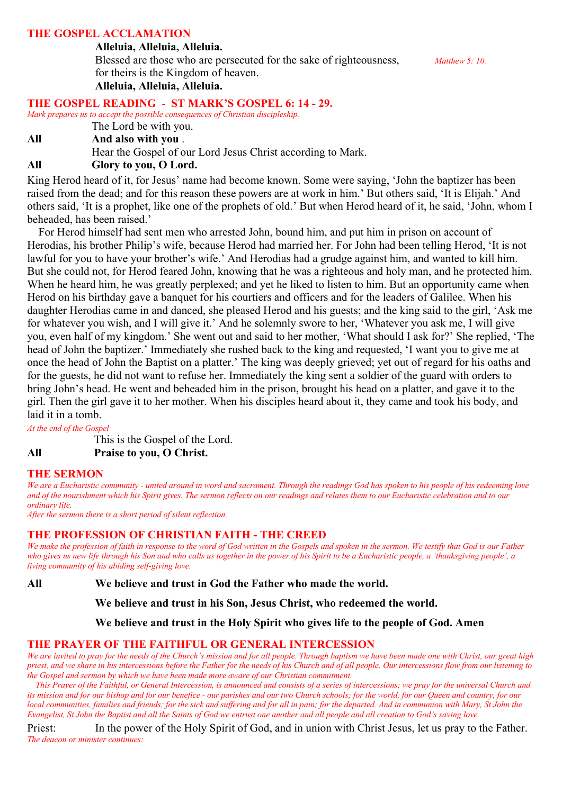# **THE GOSPEL ACCLAMATION**

# **Alleluia, Alleluia, Alleluia.**

Blessed are those who are persecuted for the sake of righteousness, *Matthew 5: 10.* for theirs is the Kingdom of heaven. **Alleluia, Alleluia, Alleluia.**

### **THE GOSPEL READING** - **ST MARK'S GOSPEL 6: 14 - 29.**

*Mark prepares us to accept the possible consequences of Christian discipleship.*

The Lord be with you.

**All And also with you** .

Hear the Gospel of our Lord Jesus Christ according to Mark.

# **All Glory to you, O Lord.**

King Herod heard of it, for Jesus' name had become known. Some were saying, 'John the baptizer has been raised from the dead; and for this reason these powers are at work in him.' But others said, 'It is Elijah.' And others said, 'It is a prophet, like one of the prophets of old.' But when Herod heard of it, he said, 'John, whom I beheaded, has been raised.'

 For Herod himself had sent men who arrested John, bound him, and put him in prison on account of Herodias, his brother Philip's wife, because Herod had married her. For John had been telling Herod, 'It is not lawful for you to have your brother's wife.' And Herodias had a grudge against him, and wanted to kill him. But she could not, for Herod feared John, knowing that he was a righteous and holy man, and he protected him. When he heard him, he was greatly perplexed; and yet he liked to listen to him. But an opportunity came when Herod on his birthday gave a banquet for his courtiers and officers and for the leaders of Galilee. When his daughter Herodias came in and danced, she pleased Herod and his guests; and the king said to the girl, 'Ask me for whatever you wish, and I will give it.' And he solemnly swore to her, 'Whatever you ask me, I will give you, even half of my kingdom.' She went out and said to her mother, 'What should I ask for?' She replied, 'The head of John the baptizer.' Immediately she rushed back to the king and requested, 'I want you to give me at once the head of John the Baptist on a platter.' The king was deeply grieved; yet out of regard for his oaths and for the guests, he did not want to refuse her. Immediately the king sent a soldier of the guard with orders to bring John's head. He went and beheaded him in the prison, brought his head on a platter, and gave it to the girl. Then the girl gave it to her mother. When his disciples heard about it, they came and took his body, and laid it in a tomb.

*At the end of the Gospel*

This is the Gospel of the Lord. **All Praise to you, O Christ.**

#### **THE SERMON**

*We are a Eucharistic community - united around in word and sacrament. Through the readings God has spoken to his people of his redeeming love*  and of the nourishment which his Spirit gives. The sermon reflects on our readings and relates them to our Eucharistic celebration and to our *ordinary life.*

*After the sermon there is a short period of silent reflection.*

# **THE PROFESSION OF CHRISTIAN FAITH - THE CREED**

*We make the profession of faith in response to the word of God written in the Gospels and spoken in the sermon. We testify that God is our Father*  who gives us new life through his Son and who calls us together in the power of his Spirit to be a Eucharistic people, a 'thanksgiving people', a *living community of his abiding self-giving love.*

**All We believe and trust in God the Father who made the world.** 

**We believe and trust in his Son, Jesus Christ, who redeemed the world.** 

**We believe and trust in the Holy Spirit who gives life to the people of God. Amen**

#### **THE PRAYER OF THE FAITHFUL OR GENERAL INTERCESSION**

*We are invited to pray for the needs of the Church's mission and for all people. Through baptism we have been made one with Christ, our great high priest, and we share in his intercessions before the Father for the needs of his Church and of all people. Our intercessions flow from our listening to the Gospel and sermon by which we have been made more aware of our Christian commitment.* 

 *This Prayer of the Faithful, or General Intercession, is announced and consists of a series of intercessions; we pray for the universal Church and its mission and for our bishop and for our benefice - our parishes and our two Church schools; for the world, for our Queen and country, for our local communities, families and friends; for the sick and suffering and for all in pain; for the departed. And in communion with Mary, St John the Evangelist, St John the Baptist and all the Saints of God we entrust one another and all people and all creation to God's saving love.*

Priest: In the power of the Holy Spirit of God, and in union with Christ Jesus, let us pray to the Father. *The deacon or minister continues:*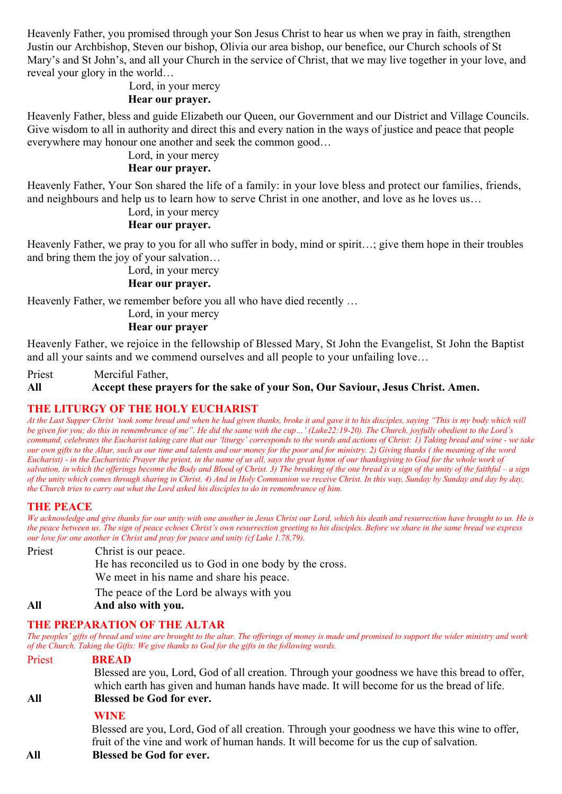Heavenly Father, you promised through your Son Jesus Christ to hear us when we pray in faith, strengthen Justin our Archbishop, Steven our bishop, Olivia our area bishop, our benefice, our Church schools of St Mary's and St John's, and all your Church in the service of Christ, that we may live together in your love, and reveal your glory in the world…

# Lord, in your mercy

 **Hear our prayer.**

Heavenly Father, bless and guide Elizabeth our Queen, our Government and our District and Village Councils. Give wisdom to all in authority and direct this and every nation in the ways of justice and peace that people everywhere may honour one another and seek the common good…

# Lord, in your mercy  **Hear our prayer.**

Heavenly Father, Your Son shared the life of a family: in your love bless and protect our families, friends, and neighbours and help us to learn how to serve Christ in one another, and love as he loves us…

#### Lord, in your mercy  **Hear our prayer.**

Heavenly Father, we pray to you for all who suffer in body, mind or spirit…; give them hope in their troubles and bring them the joy of your salvation…

> Lord, in your mercy  **Hear our prayer.**

Heavenly Father, we remember before you all who have died recently …

 Lord, in your mercy  **Hear our prayer** 

Heavenly Father, we rejoice in the fellowship of Blessed Mary, St John the Evangelist, St John the Baptist and all your saints and we commend ourselves and all people to your unfailing love…

Priest Merciful Father,

**All Accept these prayers for the sake of your Son, Our Saviour, Jesus Christ. Amen.**

# **THE LITURGY OF THE HOLY EUCHARIST**

*At the Last Supper Christ 'took some bread and when he had given thanks, broke it and gave it to his disciples, saying "This is my body which will be given for you; do this in remembrance of me". He did the same with the cup…' (Luke22:19-20). The Church, joyfully obedient to the Lord's command, celebrates the Eucharist taking care that our 'liturgy' corresponds to the words and actions of Christ: 1) Taking bread and wine - we take our own gifts to the Altar, such as our time and talents and our money for the poor and for ministry. 2) Giving thanks ( the meaning of the word Eucharist) - in the Eucharistic Prayer the priest, in the name of us all, says the great hymn of our thanksgiving to God for the whole work of salvation, in which the offerings become the Body and Blood of Christ. 3) The breaking of the one bread is a sign of the unity of the faithful – a sign of the unity which comes through sharing in Christ. 4) And in Holy Communion we receive Christ. In this way, Sunday by Sunday and day by day, the Church tries to carry out what the Lord asked his disciples to do in remembrance of him.*

# **THE PEACE**

*We acknowledge and give thanks for our unity with one another in Jesus Christ our Lord, which his death and resurrection have brought to us. He is the peace between us. The sign of peace echoes Christ's own resurrection greeting to his disciples. Before we share in the same bread we express our love for one another in Christ and pray for peace and unity (cf Luke 1.78,79).*

# Priest Christ is our peace.

He has reconciled us to God in one body by the cross.

We meet in his name and share his peace.

The peace of the Lord be always with you

# **All And also with you.**

# **THE PREPARATION OF THE ALTAR**

*The peoples' gifts of bread and wine are brought to the altar. The offerings of money is made and promised to support the wider ministry and work of the Church. Taking the Gifts: We give thanks to God for the gifts in the following words.*

Priest **BREAD** Blessed are you, Lord, God of all creation. Through your goodness we have this bread to offer, which earth has given and human hands have made. It will become for us the bread of life.

**All Blessed be God for ever.**

# **WINE**

Blessed are you, Lord, God of all creation. Through your goodness we have this wine to offer, fruit of the vine and work of human hands. It will become for us the cup of salvation.

**All All Blessed be God for ever.**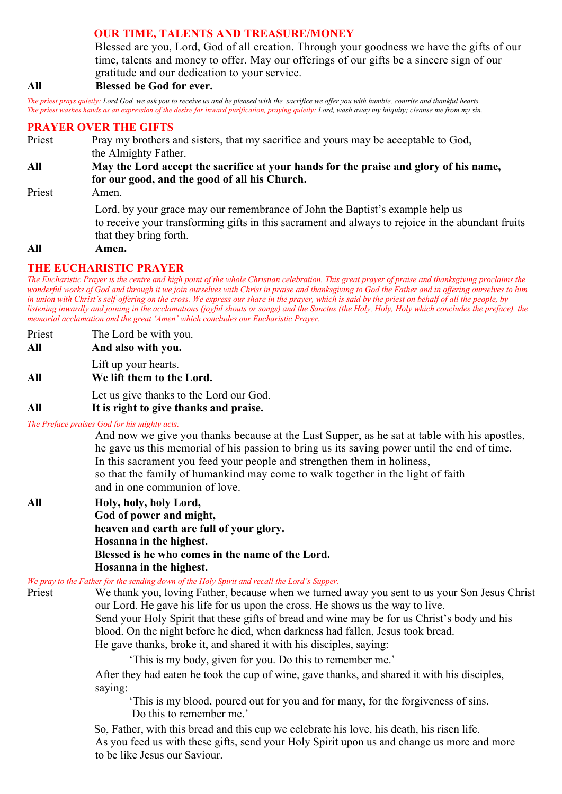# **OUR TIME, TALENTS AND TREASURE/MONEY**

Blessed are you, Lord, God of all creation. Through your goodness we have the gifts of our time, talents and money to offer. May our offerings of our gifts be a sincere sign of our gratitude and our dedication to your service.

# **All Blessed be God for ever.**

*The priest prays quietly: Lord God, we ask you to receive us and be pleased with the sacrifice we offer you with humble, contrite and thankful hearts. The priest washes hands as an expression of the desire for inward purification, praying quietly: Lord, wash away my iniquity; cleanse me from my sin.*

# **PRAYER OVER THE GIFTS**

- Priest Pray my brothers and sisters, that my sacrifice and yours may be acceptable to God, the Almighty Father.
- **All May the Lord accept the sacrifice at your hands for the praise and glory of his name, for our good, and the good of all his Church.**

Priest Amen.

Lord, by your grace may our remembrance of John the Baptist's example help us to receive your transforming gifts in this sacrament and always to rejoice in the abundant fruits that they bring forth.

#### **All Amen.**

# **THE EUCHARISTIC PRAYER**

*The Eucharistic Prayer is the centre and high point of the whole Christian celebration. This great prayer of praise and thanksgiving proclaims the wonderful works of God and through it we join ourselves with Christ in praise and thanksgiving to God the Father and in offering ourselves to him in union with Christ's self-offering on the cross. We express our share in the prayer, which is said by the priest on behalf of all the people, by listening inwardly and joining in the acclamations (joyful shouts or songs) and the Sanctus (the Holy, Holy, Holy which concludes the preface), the memorial acclamation and the great 'Amen' which concludes our Eucharistic Prayer.*

| Priest | The Lord be with you.           |
|--------|---------------------------------|
| All    | And also with you.              |
|        | Lift up your hearts.            |
| All    | We lift them to the Lord.       |
|        | Lot us give then ke to the Lord |

Let us give thanks to the Lord our God. **All It is right to give thanks and praise.**

# *The Preface praises God for his mighty acts:*

And now we give you thanks because at the Last Supper, as he sat at table with his apostles, he gave us this memorial of his passion to bring us its saving power until the end of time. In this sacrament you feed your people and strengthen them in holiness, so that the family of humankind may come to walk together in the light of faith and in one communion of love.

# **All Holy, holy, holy Lord, God of power and might, heaven and earth are full of your glory. Hosanna in the highest. Blessed is he who comes in the name of the Lord. Hosanna in the highest.**

*We pray to the Father for the sending down of the Holy Spirit and recall the Lord's Supper.*

Priest We thank you, loving Father, because when we turned away you sent to us your Son Jesus Christ our Lord. He gave his life for us upon the cross. He shows us the way to live.

> Send your Holy Spirit that these gifts of bread and wine may be for us Christ's body and his blood. On the night before he died, when darkness had fallen, Jesus took bread.

He gave thanks, broke it, and shared it with his disciples, saying:

'This is my body, given for you. Do this to remember me.'

After they had eaten he took the cup of wine, gave thanks, and shared it with his disciples, saying:

 'This is my blood, poured out for you and for many, for the forgiveness of sins. Do this to remember me.'

So, Father, with this bread and this cup we celebrate his love, his death, his risen life. As you feed us with these gifts, send your Holy Spirit upon us and change us more and more to be like Jesus our Saviour.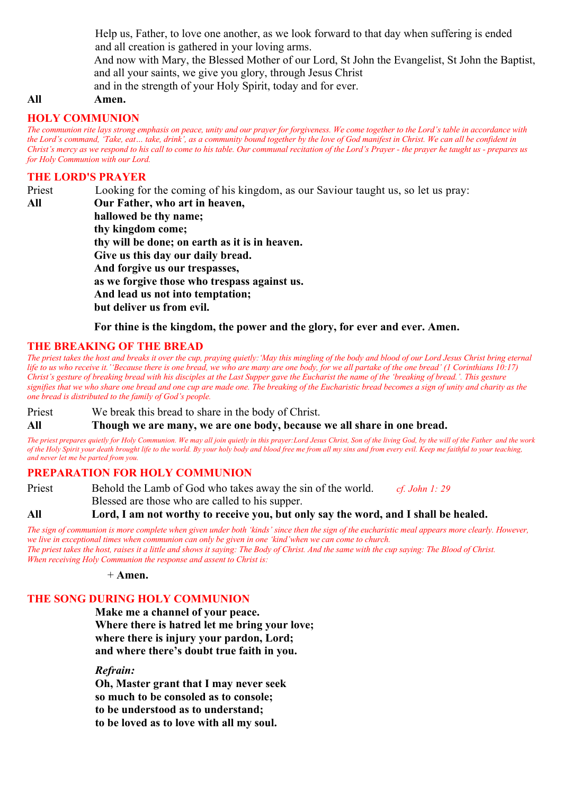Help us, Father, to love one another, as we look forward to that day when suffering is ended and all creation is gathered in your loving arms.

And now with Mary, the Blessed Mother of our Lord, St John the Evangelist, St John the Baptist, and all your saints, we give you glory, through Jesus Christ and in the strength of your Holy Spirit, today and for ever.

**All Amen.**

#### **HOLY COMMUNION**

*The communion rite lays strong emphasis on peace, unity and our prayer for forgiveness. We come together to the Lord's table in accordance with the Lord's command, 'Take, eat… take, drink', as a community bound together by the love of God manifest in Christ. We can all be confident in Christ's mercy as we respond to his call to come to his table. Our communal recitation of the Lord's Prayer - the prayer he taught us - prepares us for Holy Communion with our Lord.*

#### **THE LORD'S PRAYER**

Priest Looking for the coming of his kingdom, as our Saviour taught us, so let us pray: **All Our Father, who art in heaven, hallowed be thy name; thy kingdom come; thy will be done; on earth as it is in heaven. Give us this day our daily bread. And forgive us our trespasses, as we forgive those who trespass against us. And lead us not into temptation; but deliver us from evil.**

## **For thine is the kingdom, the power and the glory, for ever and ever. Amen.**

#### **THE BREAKING OF THE BREAD**

*The priest takes the host and breaks it over the cup, praying quietly:'May this mingling of the body and blood of our Lord Jesus Christ bring eternal life to us who receive it.''Because there is one bread, we who are many are one body, for we all partake of the one bread' (1 Corinthians 10:17) Christ's gesture of breaking bread with his disciples at the Last Supper gave the Eucharist the name of the 'breaking of bread.'. This gesture signifies that we who share one bread and one cup are made one. The breaking of the Eucharistic bread becomes a sign of unity and charity as the one bread is distributed to the family of God's people.*

Priest We break this bread to share in the body of Christ.

**All Though we are many, we are one body, because we all share in one bread.**

*The priest prepares quietly for Holy Communion. We may all join quietly in this prayer:Lord Jesus Christ, Son of the living God, by the will of the Father and the work of the Holy Spirit your death brought life to the world. By your holy body and blood free me from all my sins and from every evil. Keep me faithful to your teaching, and never let me be parted from you.*

# **PREPARATION FOR HOLY COMMUNION**

Priest Behold the Lamb of God who takes away the sin of the world. *cf. John 1: 29* Blessed are those who are called to his supper.

**All Lord, I am not worthy to receive you, but only say the word, and I shall be healed.**

*The sign of communion is more complete when given under both 'kinds' since then the sign of the eucharistic meal appears more clearly. However, we live in exceptional times when communion can only be given in one 'kind'when we can come to church. The priest takes the host, raises it a little and shows it saying: The Body of Christ. And the same with the cup saying: The Blood of Christ. When receiving Holy Communion the response and assent to Christ is:*

+ **Amen.** 

#### **THE SONG DURING HOLY COMMUNION**

**Make me a channel of your peace. Where there is hatred let me bring your love; where there is injury your pardon, Lord; and where there's doubt true faith in you.**

*Refrain:*

**Oh, Master grant that I may never seek so much to be consoled as to console; to be understood as to understand; to be loved as to love with all my soul.**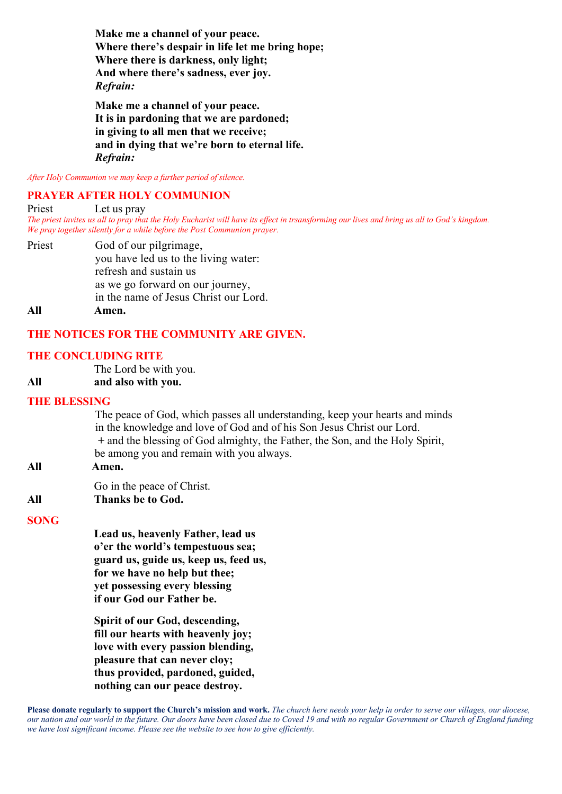**Make me a channel of your peace. Where there's despair in life let me bring hope; Where there is darkness, only light; And where there's sadness, ever joy.** *Refrain:*

**Make me a channel of your peace. It is in pardoning that we are pardoned; in giving to all men that we receive; and in dying that we're born to eternal life.** *Refrain:*

*After Holy Communion we may keep a further period of silence.*

## **PRAYER AFTER HOLY COMMUNION**

Priest Let us pray

*The priest invites us all to pray that the Holy Eucharist will have its effect in trsansforming our lives and bring us all to God's kingdom. We pray together silently for a while before the Post Communion prayer.*

Priest God of our pilgrimage, you have led us to the living water: refresh and sustain us as we go forward on our journey, in the name of Jesus Christ our Lord. **All Amen.**

# **THE NOTICES FOR THE COMMUNITY ARE GIVEN.**

#### **THE CONCLUDING RITE**

The Lord be with you.

## **All and also with you.**

#### **THE BLESSING**

The peace of God, which passes all understanding, keep your hearts and minds in the knowledge and love of God and of his Son Jesus Christ our Lord. **+** and the blessing of God almighty, the Father, the Son, and the Holy Spirit, be among you and remain with you always.

| All | Amen.                      |
|-----|----------------------------|
|     | Go in the peace of Christ. |
| All | <b>Thanks be to God.</b>   |

**SONG**

**Lead us, heavenly Father, lead us o'er the world's tempestuous sea; guard us, guide us, keep us, feed us, for we have no help but thee; yet possessing every blessing if our God our Father be.**

**Spirit of our God, descending, fill our hearts with heavenly joy; love with every passion blending, pleasure that can never cloy; thus provided, pardoned, guided, nothing can our peace destroy.**